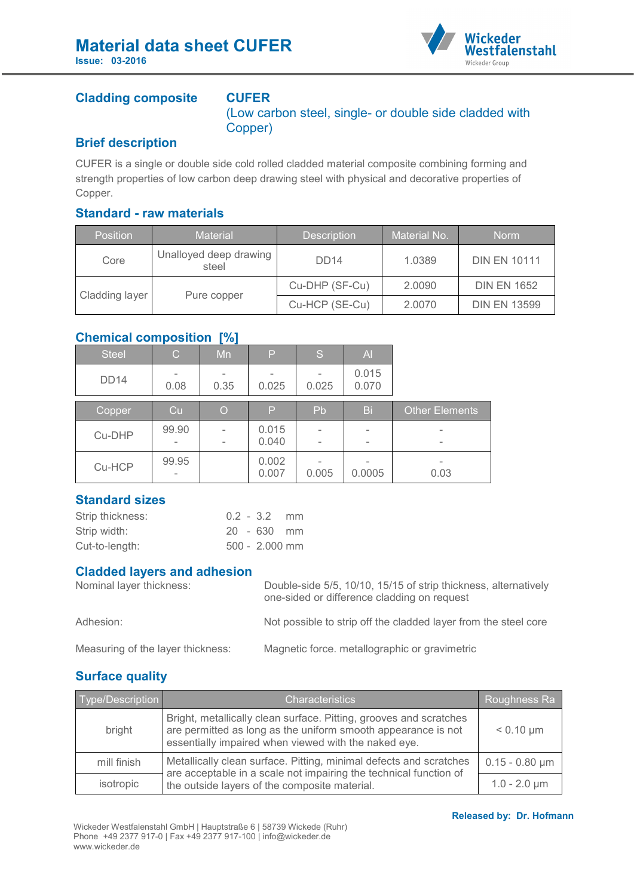

# **Cladding composite CUFER**

(Low carbon steel, single- or double side cladded with Copper)

### **Brief description**

CUFER is a single or double side cold rolled cladded material composite combining forming and strength properties of low carbon deep drawing steel with physical and decorative properties of Copper.

### **Standard - raw materials**

| <b>Position</b> | <b>Material</b>                 | <b>Description</b> | Material No. | <b>Norm</b>         |
|-----------------|---------------------------------|--------------------|--------------|---------------------|
| Core            | Unalloyed deep drawing<br>steel | DD <sub>14</sub>   | 1.0389       | <b>DIN EN 10111</b> |
| Cladding layer  |                                 | Cu-DHP (SF-Cu)     | 2.0090       | <b>DIN EN 1652</b>  |
|                 | Pure copper                     | Cu-HCP (SE-Cu)     | 2.0070       | <b>DIN EN 13599</b> |

### **Chemical composition [%]**

| <b>Steel</b> | $\mathsf{C}$ | __<br>Mn | P              | S                                                    | $\overline{A}$ |                                             |
|--------------|--------------|----------|----------------|------------------------------------------------------|----------------|---------------------------------------------|
| <b>DD14</b>  | 0.08         | 0.35     | 0.025          | 0.025                                                | 0.015<br>0.070 |                                             |
| Copper       | Cu           | O        | P              | Pb                                                   | Bi             | <b>Other Elements</b>                       |
| Cu-DHP       | 99.90        |          | 0.015<br>0.040 | $\overline{\phantom{m}}$<br>$\overline{\phantom{0}}$ |                | $\overline{\phantom{0}}$<br>$\qquad \qquad$ |
| Cu-HCP       | 99.95<br>-   |          | 0.002<br>0.007 | 0.005                                                | 0.0005         | $\qquad \qquad$<br>0.03                     |

## **Standard sizes**

| Strip thickness: |  | $0.2 - 3.2$ mm |  |
|------------------|--|----------------|--|
| Strip width:     |  | 20 - 630 mm    |  |
| Cut-to-length:   |  | 500 - 2.000 mm |  |

### **Cladded layers and adhesion**

| Nominal layer thickness:          | Double-side 5/5, 10/10, 15/15 of strip thickness, alternatively<br>one-sided or difference cladding on request |  |  |
|-----------------------------------|----------------------------------------------------------------------------------------------------------------|--|--|
| Adhesion:                         | Not possible to strip off the cladded layer from the steel core                                                |  |  |
| Measuring of the layer thickness: | Magnetic force. metallographic or gravimetric                                                                  |  |  |

## **Surface quality**

| Type/Description | <b>Characteristics</b>                                                                                                                                                                      | Roughness Ra        |
|------------------|---------------------------------------------------------------------------------------------------------------------------------------------------------------------------------------------|---------------------|
| bright           | Bright, metallically clean surface. Pitting, grooves and scratches<br>are permitted as long as the uniform smooth appearance is not<br>essentially impaired when viewed with the naked eye. | $< 0.10 \mu m$      |
| mill finish      | Metallically clean surface. Pitting, minimal defects and scratches<br>are acceptable in a scale not impairing the technical function of                                                     | $0.15 - 0.80 \mu m$ |
| isotropic        | the outside layers of the composite material.                                                                                                                                               | $1.0 - 2.0 \mu m$   |

#### **Released by: Dr. Hofmann**